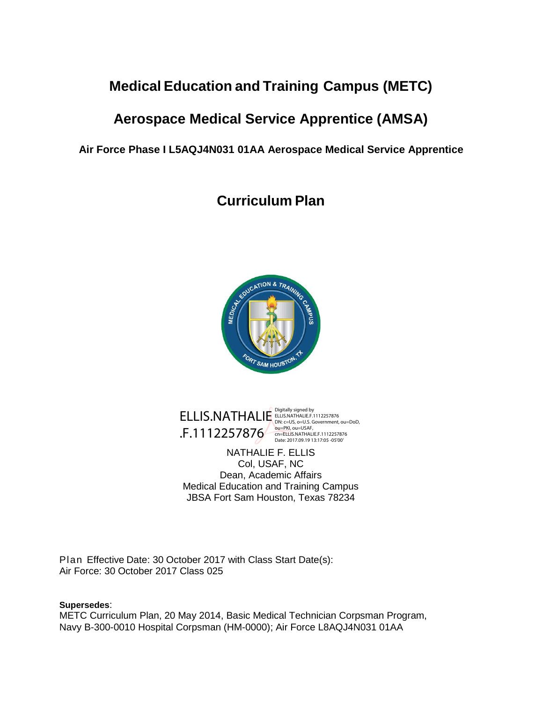# **Medical Education and Training Campus (METC)**

# **Aerospace Medical Service Apprentice (AMSA)**

**Air Force Phase I L5AQJ4N031 01AA Aerospace Medical Service Apprentice**

**Curriculum Plan**





NATHALIE F. ELLIS Col, USAF, NC Dean, Academic Affairs Medical Education and Training Campus JBSA Fort Sam Houston, Texas 78234

Plan Effective Date: 30 October 2017 with Class Start Date(s): Air Force: 30 October 2017 Class 025

#### **Supersedes**:

METC Curriculum Plan, 20 May 2014, Basic Medical Technician Corpsman Program, Navy B-300-0010 Hospital Corpsman (HM-0000); Air Force L8AQJ4N031 01AA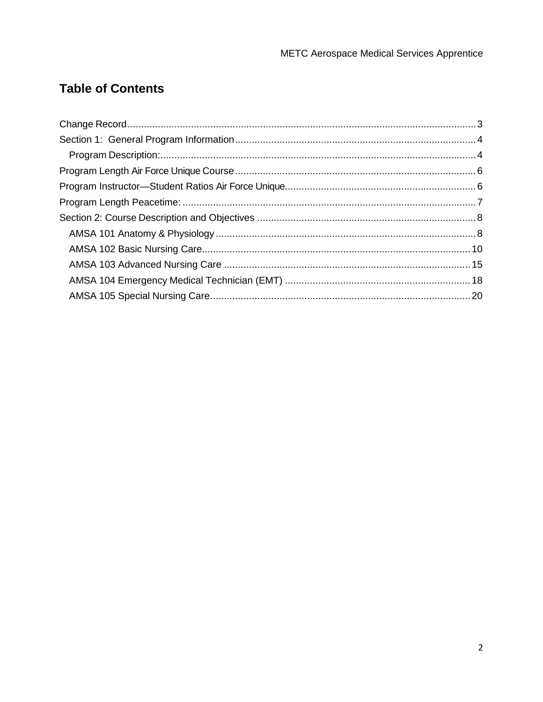# **Table of Contents**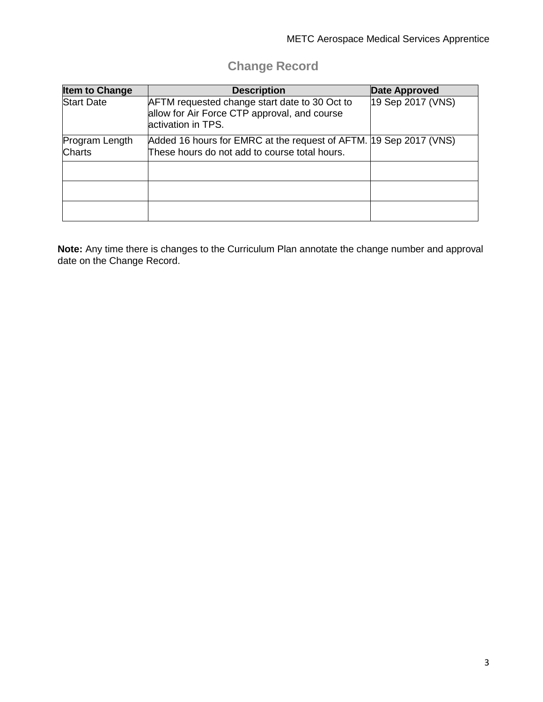# **Change Record**

<span id="page-2-0"></span>

| <b>Item to Change</b>           | <b>Description</b>                                                                                                   | <b>Date Approved</b> |
|---------------------------------|----------------------------------------------------------------------------------------------------------------------|----------------------|
| <b>Start Date</b>               | AFTM requested change start date to 30 Oct to<br>allow for Air Force CTP approval, and course<br>lactivation in TPS. | 19 Sep 2017 (VNS)    |
| Program Length<br><b>Charts</b> | Added 16 hours for EMRC at the request of AFTM. 19 Sep 2017 (VNS)<br>These hours do not add to course total hours.   |                      |
|                                 |                                                                                                                      |                      |
|                                 |                                                                                                                      |                      |
|                                 |                                                                                                                      |                      |

**Note:** Any time there is changes to the Curriculum Plan annotate the change number and approval date on the Change Record.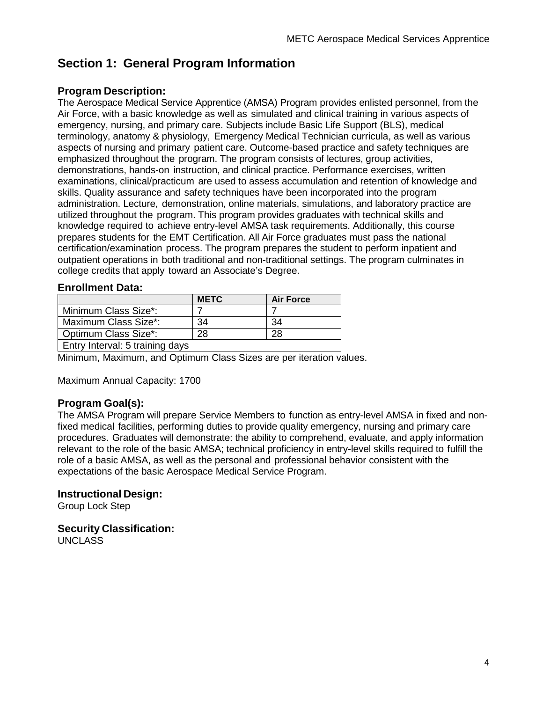# <span id="page-3-0"></span>**Section 1: General Program Information**

### <span id="page-3-1"></span>**Program Description:**

The Aerospace Medical Service Apprentice (AMSA) Program provides enlisted personnel, from the Air Force, with a basic knowledge as well as simulated and clinical training in various aspects of emergency, nursing, and primary care. Subjects include Basic Life Support (BLS), medical terminology, anatomy & physiology, Emergency Medical Technician curricula, as well as various aspects of nursing and primary patient care. Outcome-based practice and safety techniques are emphasized throughout the program. The program consists of lectures, group activities, demonstrations, hands-on instruction, and clinical practice. Performance exercises, written examinations, clinical/practicum are used to assess accumulation and retention of knowledge and skills. Quality assurance and safety techniques have been incorporated into the program administration. Lecture, demonstration, online materials, simulations, and laboratory practice are utilized throughout the program. This program provides graduates with technical skills and knowledge required to achieve entry-level AMSA task requirements. Additionally, this course prepares students for the EMT Certification. All Air Force graduates must pass the national certification/examination process. The program prepares the student to perform inpatient and outpatient operations in both traditional and non-traditional settings. The program culminates in college credits that apply toward an Associate's Degree.

#### **Enrollment Data:**

|                                 | <b>METC</b> | <b>Air Force</b> |  |  |  |
|---------------------------------|-------------|------------------|--|--|--|
| Minimum Class Size*:            |             |                  |  |  |  |
| Maximum Class Size*:            | 34          | 34               |  |  |  |
| Optimum Class Size*:            | 28          | 28               |  |  |  |
| Entry Interval: 5 training days |             |                  |  |  |  |

Minimum, Maximum, and Optimum Class Sizes are per iteration values.

Maximum Annual Capacity: 1700

### **Program Goal(s):**

The AMSA Program will prepare Service Members to function as entry-level AMSA in fixed and nonfixed medical facilities, performing duties to provide quality emergency, nursing and primary care procedures. Graduates will demonstrate: the ability to comprehend, evaluate, and apply information relevant to the role of the basic AMSA; technical proficiency in entry-level skills required to fulfill the role of a basic AMSA, as well as the personal and professional behavior consistent with the expectations of the basic Aerospace Medical Service Program.

#### **Instructional Design:**

Group Lock Step

### **Security Classification:**

UNCLASS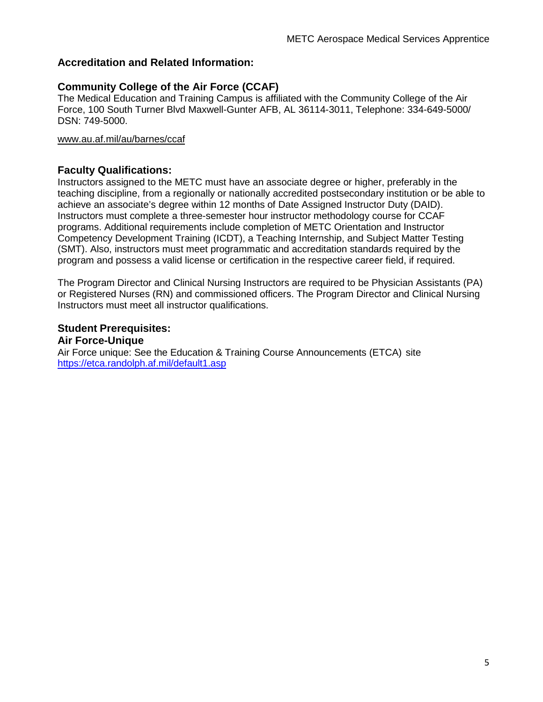## **Accreditation and Related Information:**

## **[Community College of the Air Force \(CCAF\)](http://www.au.af.mil/au/ccaf/)**

The Medical Education and Training Campus is affiliated with the Community College of the Air Force, 100 South Turner Blvd Maxwell-Gunter AFB, AL 36114-3011, Telephone: 334-649-5000/ DSN: 749-5000.

#### [www.au.af.mil/au/barnes/ccaf](http://www.au.af.mil/au/barnes/ccaf)

#### **Faculty Qualifications:**

Instructors assigned to the METC must have an associate degree or higher, preferably in the teaching discipline, from a regionally or nationally accredited postsecondary institution or be able to achieve an associate's degree within 12 months of Date Assigned Instructor Duty (DAID). Instructors must complete a three-semester hour instructor methodology course for CCAF programs. Additional requirements include completion of METC Orientation and Instructor Competency Development Training (ICDT), a Teaching Internship, and Subject Matter Testing (SMT). Also, instructors must meet programmatic and accreditation standards required by the program and possess a valid license or certification in the respective career field, if required.

The Program Director and Clinical Nursing Instructors are required to be Physician Assistants (PA) or Registered Nurses (RN) and commissioned officers. The Program Director and Clinical Nursing Instructors must meet all instructor qualifications.

#### **Student Prerequisites:**

#### **Air Force-Unique**

Air Force unique: See the Education & Training Course Announcements (ETCA) site <https://etca.randolph.af.mil/default1.asp>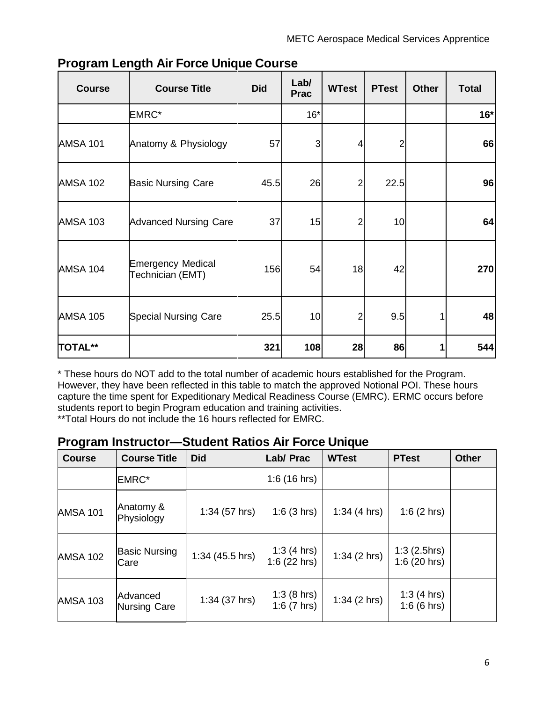| <b>Course</b>   | <b>Course Title</b>                          | <b>Did</b> | Lab/<br><b>Prac</b> | <b>WTest</b>   | <b>PTest</b>   | <b>Other</b> | <b>Total</b> |
|-----------------|----------------------------------------------|------------|---------------------|----------------|----------------|--------------|--------------|
|                 | EMRC*                                        |            | $16*$               |                |                |              | $16*$        |
| <b>AMSA 101</b> | Anatomy & Physiology                         | 57         | 3                   | 4              | $\overline{2}$ |              | 66           |
| <b>AMSA 102</b> | <b>Basic Nursing Care</b>                    | 45.5       | 26                  | 2              | 22.5           |              | 96           |
| <b>AMSA 103</b> | <b>Advanced Nursing Care</b>                 | 37         | 15                  | $\overline{2}$ | 10             |              | 64           |
| <b>AMSA 104</b> | <b>Emergency Medical</b><br>Technician (EMT) | 156        | 54                  | 18             | 42             |              | 270          |
| <b>AMSA 105</b> | <b>Special Nursing Care</b>                  | 25.5       | 10                  | $\overline{c}$ | 9.5            |              | 48           |
| <b>TOTAL**</b>  |                                              | 321        | 108                 | 28             | 86             |              | 544          |

# <span id="page-5-0"></span>**Program Length Air Force Unique Course**

\* These hours do NOT add to the total number of academic hours established for the Program. However, they have been reflected in this table to match the approved Notional POI. These hours capture the time spent for Expeditionary Medical Readiness Course (EMRC). ERMC occurs before students report to begin Program education and training activities.

\*\*Total Hours do not include the 16 hours reflected for EMRC.

# <span id="page-5-1"></span>**Program Instructor—Student Ratios Air Force Unique**

| <b>Course</b>   | <b>Course Title</b>             | <b>Did</b>      | Lab/ Prac                   | <b>WTest</b>   | <b>PTest</b>                       | <b>Other</b> |
|-----------------|---------------------------------|-----------------|-----------------------------|----------------|------------------------------------|--------------|
|                 | <b>EMRC*</b>                    |                 | $1:6(16 \text{ hrs})$       |                |                                    |              |
| <b>AMSA 101</b> | Anatomy &<br>Physiology         | $1:34(57)$ hrs) | 1:6(3 hrs)                  | 1:34 $(4 hrs)$ | 1:6 $(2 hr)$                       |              |
| <b>AMSA 102</b> | <b>Basic Nursing</b><br>Care    | 1:34 (45.5 hrs) | 1:3 $(4 hr)$<br>1:6(22 hrs) | 1:34(2 hrs)    | $1:3(2.5)$ hrs)<br>$1:6(20$ hrs)   |              |
| <b>AMSA 103</b> | Advanced<br><b>Nursing Care</b> | $1:34(37)$ hrs) | 1:3(8 hrs)<br>1:6 $(7 hrs)$ | 1:34(2 hrs)    | 1:3(4 hrs)<br>$1:6(6 \text{ hrs})$ |              |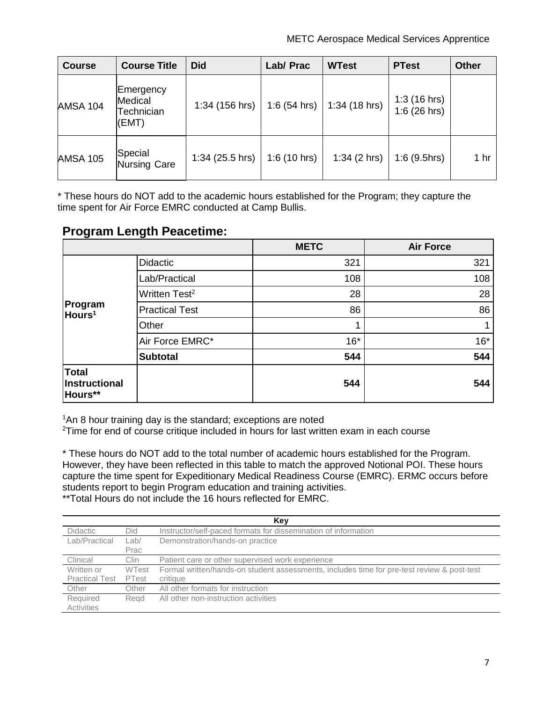| <b>Course</b>   | <b>Course Title</b>                         | <b>Did</b>        | Lab/ Prac      | <b>WTest</b>    | <b>PTest</b>                  | <b>Other</b> |
|-----------------|---------------------------------------------|-------------------|----------------|-----------------|-------------------------------|--------------|
| <b>AMSA 104</b> | Emergency<br>Medical<br>Technician<br>(EMT) | 1:34 (156 hrs)    | $1:6(54)$ hrs) | $1:34(18)$ hrs) | 1:3(16 hrs)<br>$1:6(26)$ hrs) |              |
| <b>AMSA 105</b> | Special<br><b>Nursing Care</b>              | $1:34(25.5)$ hrs) | 1:6(10 hrs)    | 1:34(2 hrs)     | $1:6(9.5)$ hrs)               | 1 hr         |

\* These hours do NOT add to the academic hours established for the Program; they capture the time spent for Air Force EMRC conducted at Camp Bullis.

# <span id="page-6-0"></span>**Program Length Peacetime:**

|                                   |                           | <b>METC</b> | <b>Air Force</b> |
|-----------------------------------|---------------------------|-------------|------------------|
|                                   | <b>Didactic</b>           | 321         | 321              |
|                                   | Lab/Practical             | 108         | 108              |
|                                   | Written Test <sup>2</sup> | 28          | 28               |
| Program<br>Hours <sup>1</sup>     | <b>Practical Test</b>     | 86          | 86               |
|                                   | Other                     |             |                  |
|                                   | Air Force EMRC*           | $16*$       | $16*$            |
|                                   | <b>Subtotal</b>           | 544         | 544              |
| Total<br>Instructional<br>Hours** |                           | 544         | 544              |

1 An 8 hour training day is the standard; exceptions are noted

<sup>2</sup>Time for end of course critique included in hours for last written exam in each course

\* These hours do NOT add to the total number of academic hours established for the Program. However, they have been reflected in this table to match the approved Notional POI. These hours capture the time spent for Expeditionary Medical Readiness Course (EMRC). ERMC occurs before students report to begin Program education and training activities.

\*\*Total Hours do not include the 16 hours reflected for EMRC.

|                        | Key          |                                                                                            |  |  |  |  |
|------------------------|--------------|--------------------------------------------------------------------------------------------|--|--|--|--|
| Didactic               | Did          | Instructor/self-paced formats for dissemination of information                             |  |  |  |  |
| Lab/Practical          | Lab/         | Demonstration/hands-on practice                                                            |  |  |  |  |
|                        | Prac         |                                                                                            |  |  |  |  |
| Clinical               | Clin         | Patient care or other supervised work experience                                           |  |  |  |  |
| Written or             | <b>WTest</b> | Formal written/hands-on student assessments, includes time for pre-test review & post-test |  |  |  |  |
| <b>Practical Test</b>  | PTest        | critique                                                                                   |  |  |  |  |
| Other                  | Other        | All other formats for instruction                                                          |  |  |  |  |
| Required<br>Activities | Read         | All other non-instruction activities                                                       |  |  |  |  |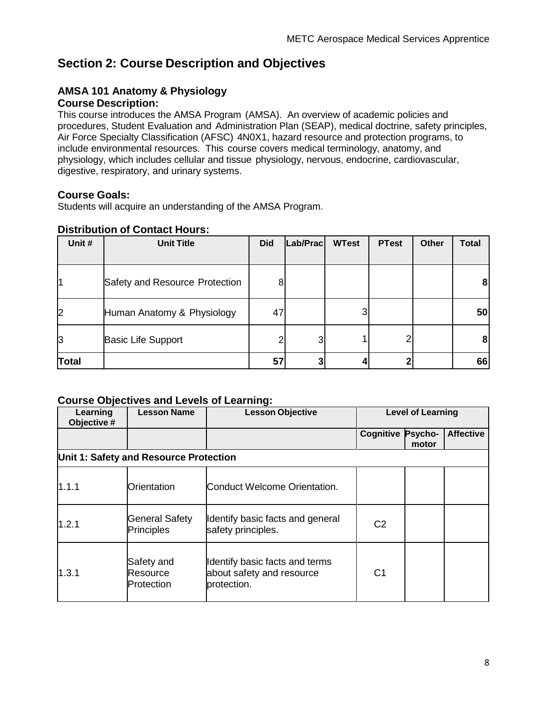# <span id="page-7-0"></span>**Section 2: Course Description and Objectives**

# <span id="page-7-1"></span>**AMSA 101 Anatomy & Physiology**

### **Course Description:**

This course introduces the AMSA Program (AMSA). An overview of academic policies and procedures, Student Evaluation and Administration Plan (SEAP), medical doctrine, safety principles, Air Force Specialty Classification (AFSC) 4N0X1, hazard resource and protection programs, to include environmental resources. This course covers medical terminology, anatomy, and physiology, which includes cellular and tissue physiology, nervous, endocrine, cardiovascular, digestive, respiratory, and urinary systems.

## **Course Goals:**

Students will acquire an understanding of the AMSA Program.

## **Distribution of Contact Hours:**

| Unit #       | <b>Unit Title</b>              | <b>Did</b> | Lab/Prac | <b>WTest</b> | <b>PTest</b> | <b>Other</b> | <b>Total</b> |
|--------------|--------------------------------|------------|----------|--------------|--------------|--------------|--------------|
|              |                                |            |          |              |              |              |              |
|              | Safety and Resource Protection | 8          |          |              |              |              | 8            |
| 2            | Human Anatomy & Physiology     | 47         |          |              |              |              | 50           |
| IЗ           | <b>Basic Life Support</b>      |            |          |              |              |              | 8            |
| <b>Total</b> |                                | 57         |          |              |              |              | 66           |

| Learning<br>Objective # | <b>Lesson Name</b>                         | <b>Lesson Objective</b>                                                    | <b>Level of Learning</b> |                  |                  |
|-------------------------|--------------------------------------------|----------------------------------------------------------------------------|--------------------------|------------------|------------------|
|                         |                                            |                                                                            | Cognitive                | Psycho-<br>motor | <b>Affective</b> |
|                         | Unit 1: Safety and Resource Protection     |                                                                            |                          |                  |                  |
| 1.1.1                   | Orientation                                | Conduct Welcome Orientation.                                               |                          |                  |                  |
| 1.2.1                   | <b>General Safety</b><br><b>Principles</b> | Identify basic facts and general<br>safety principles.                     | C <sub>2</sub>           |                  |                  |
| 1.3.1                   | Safety and<br>Resource<br>Protection       | Identify basic facts and terms<br>about safety and resource<br>protection. | C <sub>1</sub>           |                  |                  |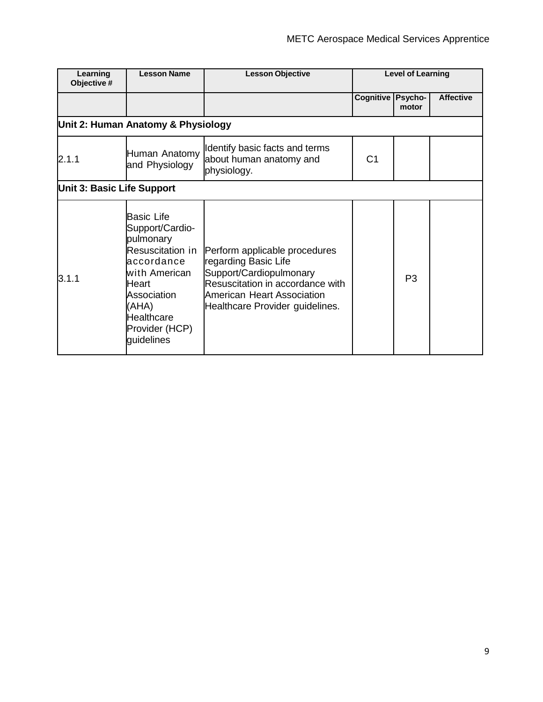| Learning<br>Objective #           | <b>Lesson Name</b>                                                                                                                                                                  | <b>Lesson Objective</b>                                                                                                                                                               |                  | <b>Level of Learning</b> |                  |
|-----------------------------------|-------------------------------------------------------------------------------------------------------------------------------------------------------------------------------------|---------------------------------------------------------------------------------------------------------------------------------------------------------------------------------------|------------------|--------------------------|------------------|
|                                   |                                                                                                                                                                                     |                                                                                                                                                                                       | <b>Cognitive</b> | Psycho-<br>motor         | <b>Affective</b> |
|                                   | Unit 2: Human Anatomy & Physiology                                                                                                                                                  |                                                                                                                                                                                       |                  |                          |                  |
| 2.1.1                             | Human Anatomy<br>and Physiology                                                                                                                                                     | Identify basic facts and terms<br>about human anatomy and<br>physiology.                                                                                                              | C <sub>1</sub>   |                          |                  |
| <b>Unit 3: Basic Life Support</b> |                                                                                                                                                                                     |                                                                                                                                                                                       |                  |                          |                  |
| 3.1.1                             | <b>Basic Life</b><br>Support/Cardio-<br>pulmonary<br>Resuscitation in<br>accordance<br>with American<br>Heart<br>Association<br>(AHA)<br>Healthcare<br>Provider (HCP)<br>guidelines | Perform applicable procedures<br>regarding Basic Life<br>Support/Cardiopulmonary<br>Resuscitation in accordance with<br>American Heart Association<br>Healthcare Provider guidelines. |                  | P <sub>3</sub>           |                  |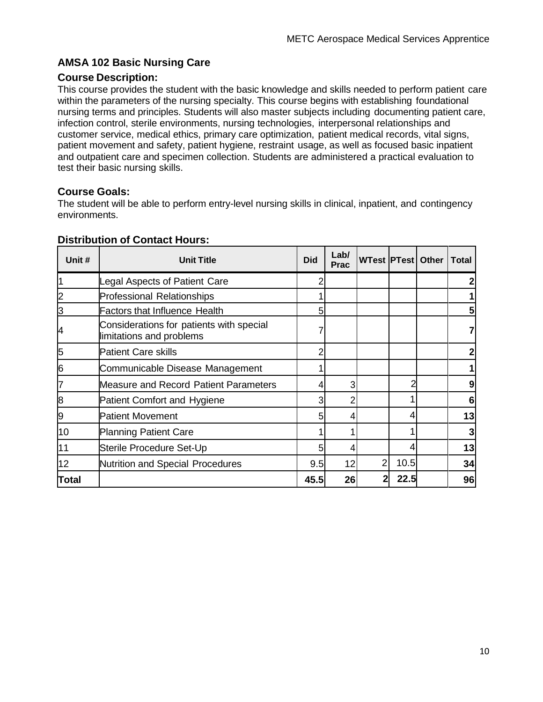## <span id="page-9-0"></span>**AMSA 102 Basic Nursing Care**

#### **Course Description:**

This course provides the student with the basic knowledge and skills needed to perform patient care within the parameters of the nursing specialty. This course begins with establishing foundational nursing terms and principles. Students will also master subjects including documenting patient care, infection control, sterile environments, nursing technologies, interpersonal relationships and customer service, medical ethics, primary care optimization, patient medical records, vital signs, patient movement and safety, patient hygiene, restraint usage, as well as focused basic inpatient and outpatient care and specimen collection. Students are administered a practical evaluation to test their basic nursing skills.

#### **Course Goals:**

The student will be able to perform entry-level nursing skills in clinical, inpatient, and contingency environments.

| Unit # | <b>Unit Title</b>                                                    | <b>Did</b> | Lab/<br><b>Prac</b> |   |      | WTest   PTest   Other   Total |    |
|--------|----------------------------------------------------------------------|------------|---------------------|---|------|-------------------------------|----|
|        | Legal Aspects of Patient Care                                        |            |                     |   |      |                               |    |
|        | <b>Professional Relationships</b>                                    |            |                     |   |      |                               |    |
| З      | <b>Factors that Influence Health</b>                                 | 5          |                     |   |      |                               |    |
| 4      | Considerations for patients with special<br>limitations and problems |            |                     |   |      |                               |    |
| 5      | <b>Patient Care skills</b>                                           |            |                     |   |      |                               |    |
| 6      | Communicable Disease Management                                      |            |                     |   |      |                               |    |
|        | <b>Measure and Record Patient Parameters</b>                         |            | 3                   |   |      |                               | 9  |
| 8      | Patient Comfort and Hygiene                                          |            | 2                   |   |      |                               | 6  |
| 9      | <b>Patient Movement</b>                                              | 5          | 4                   |   |      |                               | 13 |
| 10     | <b>Planning Patient Care</b>                                         |            |                     |   |      |                               | 3  |
| 11     | Sterile Procedure Set-Up                                             | 5          | 4                   |   |      |                               | 13 |
| 12     | Nutrition and Special Procedures                                     | 9.5        | 12                  | 2 | 10.5 |                               | 34 |
| Total  |                                                                      | 45.5       | 26                  | 2 | 22.5 |                               | 96 |

#### **Distribution of Contact Hours:**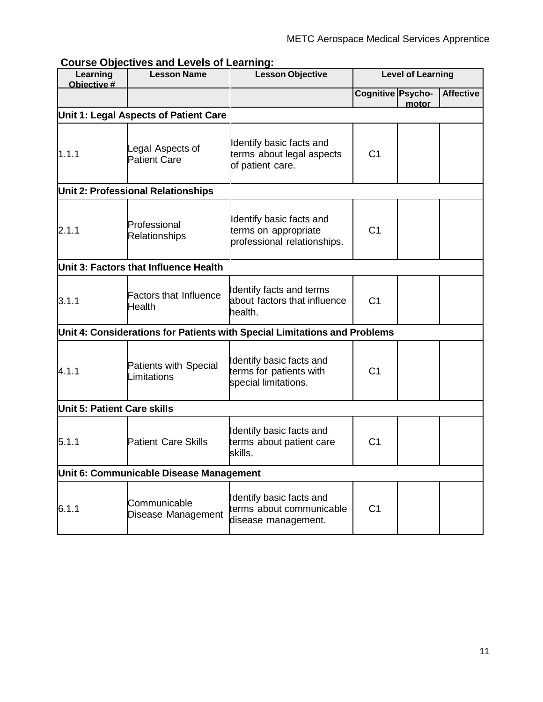| uroo owjoon<br>Learning<br>Objective # | $\sim$<br><b>Lesson Name</b>                      | ๛<br><b>Lesson Objective</b>                                                    |                   | <b>Level of Learning</b> |                  |
|----------------------------------------|---------------------------------------------------|---------------------------------------------------------------------------------|-------------------|--------------------------|------------------|
|                                        |                                                   |                                                                                 | Cognitive Psycho- | motor                    | <b>Affective</b> |
|                                        | Unit 1: Legal Aspects of Patient Care             |                                                                                 |                   |                          |                  |
| 1.1.1                                  | egal Aspects of<br><b>Patient Care</b>            | Identify basic facts and<br>terms about legal aspects<br>of patient care.       | C <sub>1</sub>    |                          |                  |
|                                        | <b>Unit 2: Professional Relationships</b>         |                                                                                 |                   |                          |                  |
| 2.1.1                                  | Professional<br><b>Relationships</b>              | Identify basic facts and<br>terms on appropriate<br>professional relationships. | C <sub>1</sub>    |                          |                  |
|                                        | Unit 3: Factors that Influence Health             |                                                                                 |                   |                          |                  |
| 3.1.1                                  | <b>Factors that Influence</b><br>Health           | Identify facts and terms<br>about factors that influence<br>health.             | C <sub>1</sub>    |                          |                  |
|                                        |                                                   | Unit 4: Considerations for Patients with Special Limitations and Problems       |                   |                          |                  |
| 4.1.1                                  | <b>Patients with Special</b><br><i>imitations</i> | Identify basic facts and<br>terms for patients with<br>special limitations.     | C <sub>1</sub>    |                          |                  |
| Unit 5: Patient Care skills            |                                                   |                                                                                 |                   |                          |                  |
| 5.1.1                                  | <b>Patient Care Skills</b>                        | Identify basic facts and<br>terms about patient care<br>skills.                 | C <sub>1</sub>    |                          |                  |
|                                        | Unit 6: Communicable Disease Management           |                                                                                 |                   |                          |                  |
| 6.1.1                                  | Communicable<br>Disease Management                | Identify basic facts and<br>terms about communicable<br>disease management.     | C <sub>1</sub>    |                          |                  |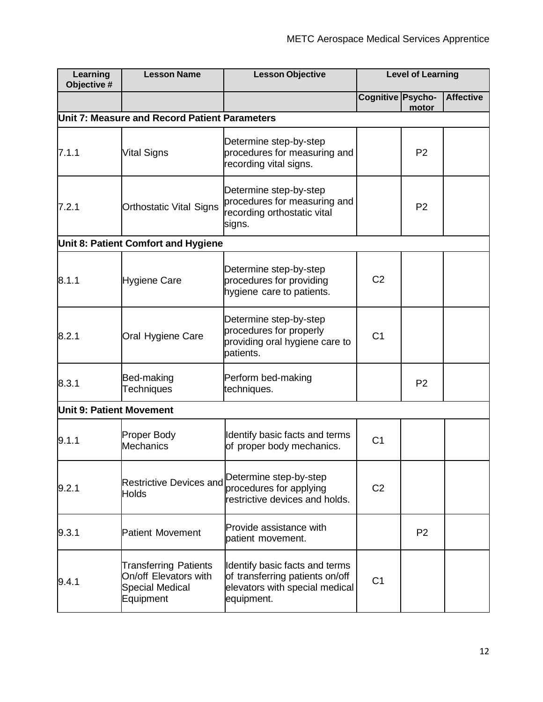| Learning<br>Objective #         | <b>Lesson Name</b>                                                                           | <b>Level of Learning</b><br><b>Lesson Objective</b>                                                               |                   |                |                  |
|---------------------------------|----------------------------------------------------------------------------------------------|-------------------------------------------------------------------------------------------------------------------|-------------------|----------------|------------------|
|                                 |                                                                                              |                                                                                                                   | Cognitive Psycho- | motor          | <b>Affective</b> |
|                                 | Unit 7: Measure and Record Patient Parameters                                                |                                                                                                                   |                   |                |                  |
| 7.1.1                           | <b>Vital Signs</b>                                                                           | Determine step-by-step<br>procedures for measuring and<br>recording vital signs.                                  |                   | P <sub>2</sub> |                  |
| 7.2.1                           | <b>Orthostatic Vital Signs</b>                                                               | Determine step-by-step<br>procedures for measuring and<br>recording orthostatic vital<br>signs.                   |                   | P <sub>2</sub> |                  |
|                                 | Unit 8: Patient Comfort and Hygiene                                                          |                                                                                                                   |                   |                |                  |
| 8.1.1                           | <b>Hygiene Care</b>                                                                          | Determine step-by-step<br>procedures for providing<br>hygiene care to patients.                                   | C <sub>2</sub>    |                |                  |
| 8.2.1                           | Oral Hygiene Care                                                                            | Determine step-by-step<br>procedures for properly<br>providing oral hygiene care to<br>patients.                  | C <sub>1</sub>    |                |                  |
| 8.3.1                           | Bed-making<br><b>Techniques</b>                                                              | Perform bed-making<br>techniques.                                                                                 |                   | P <sub>2</sub> |                  |
| <b>Unit 9: Patient Movement</b> |                                                                                              |                                                                                                                   |                   |                |                  |
| 9.1.1                           | Proper Body<br><b>Mechanics</b>                                                              | Identify basic facts and terms<br>of proper body mechanics.                                                       | C <sub>1</sub>    |                |                  |
| 9.2.1                           | <b>Restrictive Devices and</b><br><b>Holds</b>                                               | Determine step-by-step<br>procedures for applying<br>restrictive devices and holds.                               | C <sub>2</sub>    |                |                  |
| 9.3.1                           | <b>Patient Movement</b>                                                                      | Provide assistance with<br>patient movement.                                                                      |                   | P <sub>2</sub> |                  |
| 9.4.1                           | <b>Transferring Patients</b><br>On/off Elevators with<br><b>Special Medical</b><br>Equipment | Identify basic facts and terms<br>of transferring patients on/off<br>elevators with special medical<br>equipment. | C <sub>1</sub>    |                |                  |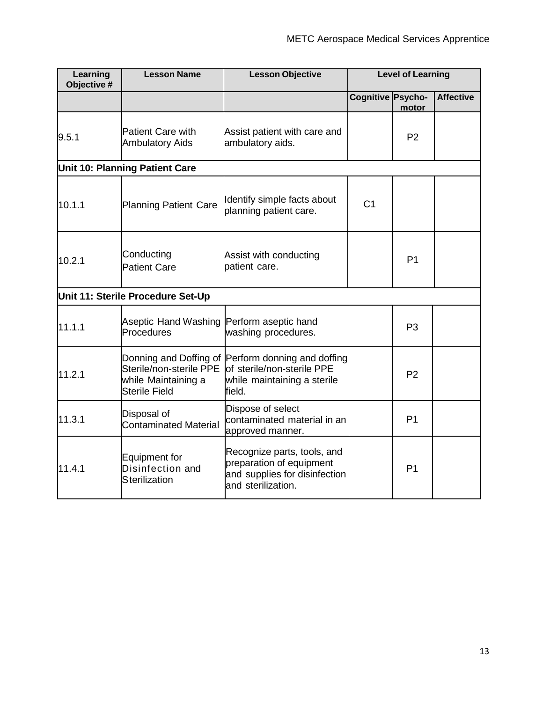| Learning<br>Objective # | <b>Lesson Name</b><br><b>Lesson Objective</b>                          |                                                                                                                            |                          | <b>Level of Learning</b> |                  |
|-------------------------|------------------------------------------------------------------------|----------------------------------------------------------------------------------------------------------------------------|--------------------------|--------------------------|------------------|
|                         |                                                                        |                                                                                                                            | <b>Cognitive Psycho-</b> | motor                    | <b>Affective</b> |
| 9.5.1                   | <b>Patient Care with</b><br><b>Ambulatory Aids</b>                     | Assist patient with care and<br>ambulatory aids.                                                                           |                          | P <sub>2</sub>           |                  |
|                         | <b>Unit 10: Planning Patient Care</b>                                  |                                                                                                                            |                          |                          |                  |
| 10.1.1                  | Planning Patient Care                                                  | Identify simple facts about<br>planning patient care.                                                                      | C <sub>1</sub>           |                          |                  |
| 10.2.1                  | Conducting<br><b>Patient Care</b>                                      | Assist with conducting<br>patient care.                                                                                    |                          | P <sub>1</sub>           |                  |
|                         | Unit 11: Sterile Procedure Set-Up                                      |                                                                                                                            |                          |                          |                  |
| 11.1.1                  | Aseptic Hand Washing Perform aseptic hand<br>Procedures                | washing procedures.                                                                                                        |                          | P <sub>3</sub>           |                  |
| 11.2.1                  | Sterile/non-sterile PPE<br>while Maintaining a<br><b>Sterile Field</b> | Donning and Doffing of Perform donning and doffing<br>lof sterile/non-sterile PPE<br>while maintaining a sterile<br>field. |                          | P <sub>2</sub>           |                  |
| 11.3.1                  | Disposal of<br><b>Contaminated Material</b>                            | Dispose of select<br>contaminated material in an<br>approved manner.                                                       |                          | P <sub>1</sub>           |                  |
| 11.4.1                  | <b>Equipment for</b><br>Disinfection and<br><b>Sterilization</b>       | Recognize parts, tools, and<br>preparation of equipment<br>and supplies for disinfection<br>and sterilization.             |                          | P <sub>1</sub>           |                  |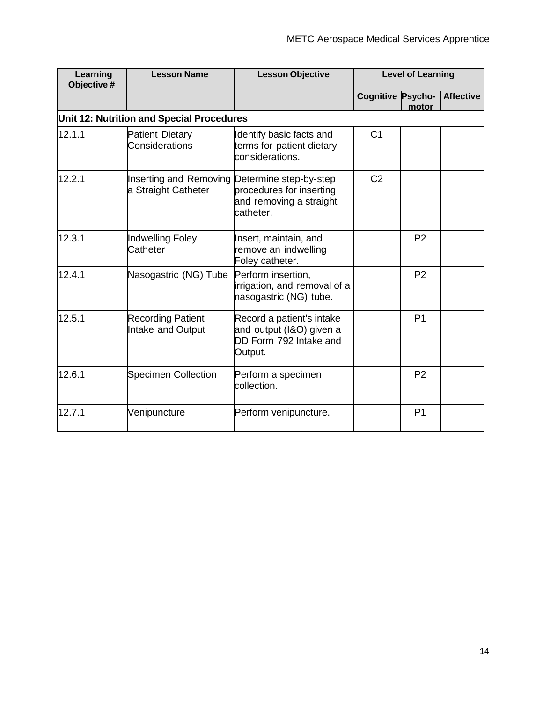| Learning<br>Objective # | <b>Lesson Name</b>                                                   | <b>Lesson Objective</b>                                                                    | <b>Level of Learning</b> |                |                  |  |
|-------------------------|----------------------------------------------------------------------|--------------------------------------------------------------------------------------------|--------------------------|----------------|------------------|--|
|                         |                                                                      |                                                                                            | <b>Cognitive Psycho-</b> | motor          | <b>Affective</b> |  |
|                         | Unit 12: Nutrition and Special Procedures                            |                                                                                            |                          |                |                  |  |
| 12.1.1                  | <b>Patient Dietary</b><br>Considerations                             | Identify basic facts and<br>terms for patient dietary<br>considerations.                   | C <sub>1</sub>           |                |                  |  |
| 12.2.1                  | Inserting and Removing Determine step-by-step<br>a Straight Catheter | procedures for inserting<br>and removing a straight<br>catheter.                           | C <sub>2</sub>           |                |                  |  |
| 12.3.1                  | Indwelling Foley<br>Catheter                                         | Insert, maintain, and<br>remove an indwelling<br>Foley catheter.                           |                          | P <sub>2</sub> |                  |  |
| 12.4.1                  | Nasogastric (NG) Tube                                                | Perform insertion,<br>irrigation, and removal of a<br>nasogastric (NG) tube.               |                          | P <sub>2</sub> |                  |  |
| 12.5.1                  | <b>Recording Patient</b><br>Intake and Output                        | Record a patient's intake<br>and output (I&O) given a<br>DD Form 792 Intake and<br>Output. |                          | P <sub>1</sub> |                  |  |
| 12.6.1                  | <b>Specimen Collection</b>                                           | Perform a specimen<br>collection.                                                          |                          | P <sub>2</sub> |                  |  |
| 12.7.1                  | Venipuncture                                                         | Perform venipuncture.                                                                      |                          | P <sub>1</sub> |                  |  |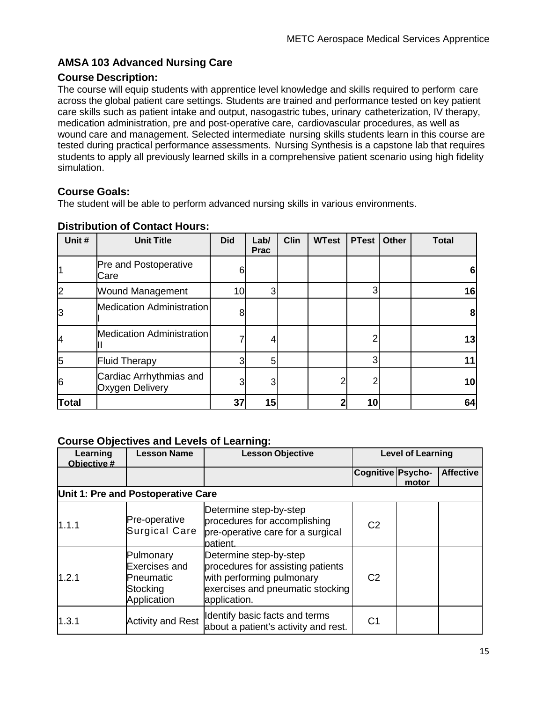## <span id="page-14-0"></span>**AMSA 103 Advanced Nursing Care**

### **Course Description:**

The course will equip students with apprentice level knowledge and skills required to perform care across the global patient care settings. Students are trained and performance tested on key patient care skills such as patient intake and output, nasogastric tubes, urinary catheterization, IV therapy, medication administration, pre and post-operative care, cardiovascular procedures, as well as wound care and management. Selected intermediate nursing skills students learn in this course are tested during practical performance assessments. Nursing Synthesis is a capstone lab that requires students to apply all previously learned skills in a comprehensive patient scenario using high fidelity simulation.

### **Course Goals:**

The student will be able to perform advanced nursing skills in various environments.

| Unit#        | <b>Unit Title</b>                          | <b>Did</b>      | Lab/<br><b>Prac</b> | <b>Clin</b> | <b>WTest</b> | <b>PTest</b> | Other | <b>Total</b> |
|--------------|--------------------------------------------|-----------------|---------------------|-------------|--------------|--------------|-------|--------------|
|              | Pre and Postoperative<br>Care              | 61              |                     |             |              |              |       | 6            |
| 2            | <b>Wound Management</b>                    | 10 <sub>l</sub> | 3                   |             |              | 3            |       | 16           |
| ß            | Medication Administration                  | 8               |                     |             |              |              |       | 8            |
| 14           | <b>Medication Administration</b>           |                 |                     |             |              | 2            |       | 13           |
| 5            | <b>Fluid Therapy</b>                       | 3 <sub>l</sub>  | 5                   |             |              | 3            |       | 11           |
| 6            | Cardiac Arrhythmias and<br>Oxygen Delivery | 31              | 3                   |             |              | 2            |       | 10           |
| <b>Total</b> |                                            | 37              | 15                  |             |              | 10           |       | 64           |

## **Distribution of Contact Hours:**

| Learning<br>Objective # | <b>Lesson Name</b>                                                 | <b>Lesson Objective</b>                                                                                                                      | <b>Level of Learning</b> |       |                  |
|-------------------------|--------------------------------------------------------------------|----------------------------------------------------------------------------------------------------------------------------------------------|--------------------------|-------|------------------|
|                         |                                                                    |                                                                                                                                              | <b>Cognitive Psycho-</b> | motor | <b>Affective</b> |
|                         | Unit 1: Pre and Postoperative Care                                 |                                                                                                                                              |                          |       |                  |
| 1.1.1                   | Pre-operative<br><b>Surgical Care</b>                              | Determine step-by-step<br>procedures for accomplishing<br>pre-operative care for a surgical<br>patient.                                      | C <sub>2</sub>           |       |                  |
| 1.2.1                   | Pulmonary<br>Exercises and<br>Pneumatic<br>Stocking<br>Application | Determine step-by-step<br>procedures for assisting patients<br>with performing pulmonary<br>exercises and pneumatic stocking<br>application. | C <sub>2</sub>           |       |                  |
| 1.3.1                   | <b>Activity and Rest</b>                                           | Identify basic facts and terms<br>about a patient's activity and rest.                                                                       | C <sub>1</sub>           |       |                  |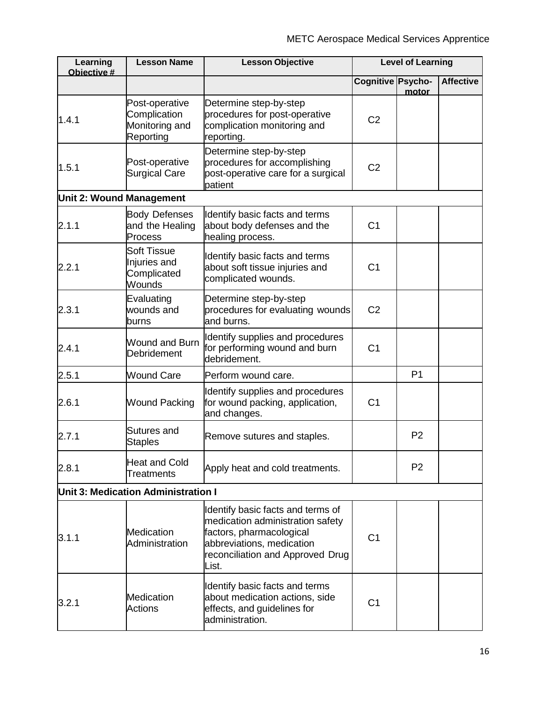| Learning<br>Objective #         | <b>Lesson Name</b>                                            | <b>Lesson Objective</b>                                                                                                                                                     | <b>Level of Learning</b> |                |                  |
|---------------------------------|---------------------------------------------------------------|-----------------------------------------------------------------------------------------------------------------------------------------------------------------------------|--------------------------|----------------|------------------|
|                                 |                                                               |                                                                                                                                                                             | Cognitive Psycho-        | motor          | <b>Affective</b> |
| 1.4.1                           | Post-operative<br>Complication<br>Monitoring and<br>Reporting | Determine step-by-step<br>procedures for post-operative<br>complication monitoring and<br>reporting.                                                                        | C <sub>2</sub>           |                |                  |
| 1.5.1                           | Post-operative<br><b>Surgical Care</b>                        | Determine step-by-step<br>procedures for accomplishing<br>post-operative care for a surgical<br>patient                                                                     | C <sub>2</sub>           |                |                  |
| <b>Unit 2: Wound Management</b> |                                                               |                                                                                                                                                                             |                          |                |                  |
| 2.1.1                           | <b>Body Defenses</b><br>and the Healing<br>Process            | Identify basic facts and terms<br>about body defenses and the<br>healing process.                                                                                           | C <sub>1</sub>           |                |                  |
| 2.2.1                           | <b>Soft Tissue</b><br>Injuries and<br>Complicated<br>Wounds   | Identify basic facts and terms<br>about soft tissue injuries and<br>complicated wounds.                                                                                     | C <sub>1</sub>           |                |                  |
| 2.3.1                           | Evaluating<br>wounds and<br>burns                             | Determine step-by-step<br>procedures for evaluating wounds<br>and burns.                                                                                                    | C <sub>2</sub>           |                |                  |
| 2.4.1                           | Wound and Burn<br>Debridement                                 | Identify supplies and procedures<br>for performing wound and burn<br>debridement.                                                                                           | C <sub>1</sub>           |                |                  |
| 2.5.1                           | <b>Wound Care</b>                                             | Perform wound care.                                                                                                                                                         |                          | P <sub>1</sub> |                  |
| 2.6.1                           | <b>Wound Packing</b>                                          | Identify supplies and procedures<br>for wound packing, application,<br>and changes.                                                                                         | C <sub>1</sub>           |                |                  |
| 2.7.1                           | Sutures and<br><b>Staples</b>                                 | Remove sutures and staples.                                                                                                                                                 |                          | P <sub>2</sub> |                  |
| 2.8.1                           | <b>Heat and Cold</b><br><b>Treatments</b>                     | Apply heat and cold treatments.                                                                                                                                             |                          | P <sub>2</sub> |                  |
|                                 | Unit 3: Medication Administration I                           |                                                                                                                                                                             |                          |                |                  |
| 3.1.1                           | <b>Medication</b><br>Administration                           | Identify basic facts and terms of<br>medication administration safety<br>factors, pharmacological<br>abbreviations, medication<br>reconciliation and Approved Drug<br>List. | C <sub>1</sub>           |                |                  |
| 3.2.1                           | <b>Medication</b><br><b>Actions</b>                           | Identify basic facts and terms<br>about medication actions, side<br>effects, and guidelines for<br>administration.                                                          | C <sub>1</sub>           |                |                  |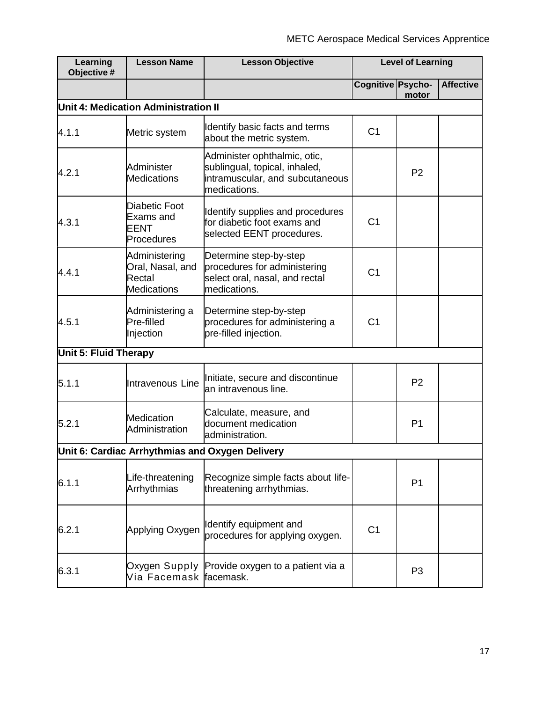| Learning<br>Objective #      | <b>Lesson Name</b><br><b>Lesson Objective</b>                     |                                                                                                                  |                   | <b>Level of Learning</b> |                  |
|------------------------------|-------------------------------------------------------------------|------------------------------------------------------------------------------------------------------------------|-------------------|--------------------------|------------------|
|                              |                                                                   |                                                                                                                  | Cognitive Psycho- | motor                    | <b>Affective</b> |
|                              | Unit 4: Medication Administration II                              |                                                                                                                  |                   |                          |                  |
| 4.1.1                        | Metric system                                                     | Identify basic facts and terms<br>about the metric system.                                                       | C <sub>1</sub>    |                          |                  |
| 4.2.1                        | Administer<br><b>Medications</b>                                  | Administer ophthalmic, otic,<br>sublingual, topical, inhaled,<br>intramuscular, and subcutaneous<br>medications. |                   | P <sub>2</sub>           |                  |
| 4.3.1                        | <b>Diabetic Foot</b><br>Exams and<br><b>EENT</b><br>Procedures    | Identify supplies and procedures<br>for diabetic foot exams and<br>selected EENT procedures.                     | C <sub>1</sub>    |                          |                  |
| 4.4.1                        | Administering<br>Oral, Nasal, and<br>Rectal<br><b>Medications</b> | Determine step-by-step<br>procedures for administering<br>select oral, nasal, and rectal<br>medications.         | C <sub>1</sub>    |                          |                  |
| 4.5.1                        | Administering a<br>Pre-filled<br>Injection                        | Determine step-by-step<br>procedures for administering a<br>pre-filled injection.                                | C <sub>1</sub>    |                          |                  |
| <b>Unit 5: Fluid Therapy</b> |                                                                   |                                                                                                                  |                   |                          |                  |
| 5.1.1                        | Intravenous Line                                                  | Initiate, secure and discontinue<br>an intravenous line.                                                         |                   | P <sub>2</sub>           |                  |
| 5.2.1                        | <b>Medication</b><br>Administration                               | Calculate, measure, and<br>document medication<br>administration.                                                |                   | P <sub>1</sub>           |                  |
|                              |                                                                   | Unit 6: Cardiac Arrhythmias and Oxygen Delivery                                                                  |                   |                          |                  |
| 6.1.1                        | Life-threatening<br>Arrhythmias                                   | Recognize simple facts about life-<br>threatening arrhythmias.                                                   |                   | P <sub>1</sub>           |                  |
| 6.2.1                        | Applying Oxygen                                                   | Identify equipment and<br>procedures for applying oxygen.                                                        | C <sub>1</sub>    |                          |                  |
| 6.3.1                        | Via Facemask <mark>f</mark> acemask.                              | Oxygen Supply Provide oxygen to a patient via a                                                                  |                   | P <sub>3</sub>           |                  |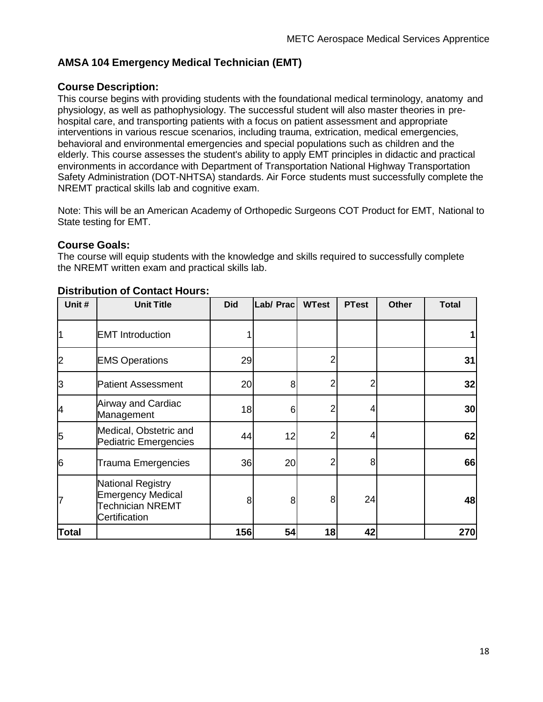# <span id="page-17-0"></span>**AMSA 104 Emergency Medical Technician (EMT)**

### **Course Description:**

This course begins with providing students with the foundational medical terminology, anatomy and physiology, as well as pathophysiology. The successful student will also master theories in prehospital care, and transporting patients with a focus on patient assessment and appropriate interventions in various rescue scenarios, including trauma, extrication, medical emergencies, behavioral and environmental emergencies and special populations such as children and the elderly. This course assesses the student's ability to apply EMT principles in didactic and practical environments in accordance with Department of Transportation National Highway Transportation Safety Administration (DOT-NHTSA) standards. Air Force students must successfully complete the NREMT practical skills lab and cognitive exam.

Note: This will be an American Academy of Orthopedic Surgeons COT Product for EMT, National to State testing for EMT.

### **Course Goals:**

The course will equip students with the knowledge and skills required to successfully complete the NREMT written exam and practical skills lab.

| Unit#                   | <b>Unit Title</b>                                                                                | <b>Did</b> | Lab/ Prac      | <b>WTest</b>   | <b>PTest</b> | <b>Other</b> | <b>Total</b> |
|-------------------------|--------------------------------------------------------------------------------------------------|------------|----------------|----------------|--------------|--------------|--------------|
|                         | <b>EMT</b> Introduction                                                                          |            |                |                |              |              |              |
| $\overline{\mathbf{2}}$ | <b>EMS Operations</b>                                                                            | 29         |                | $\overline{2}$ |              |              | 31           |
| 3                       | <b>Patient Assessment</b>                                                                        | 20         | 8 <sup>1</sup> |                | 2            |              | 32           |
| 4                       | Airway and Cardiac<br>Management                                                                 | 18         | 6              | 2              | 4            |              | 30           |
| 5                       | Medical, Obstetric and<br><b>Pediatric Emergencies</b>                                           | 44         | 12             | 2              | 4            |              | 62           |
| 6                       | <b>Trauma Emergencies</b>                                                                        | 36         | 20             | 2              | 8            |              | 66           |
| 7                       | <b>National Registry</b><br><b>Emergency Medical</b><br><b>Technician NREMT</b><br>Certification | 8          | 8              | 8              | 24           |              | 48           |
| <b>Total</b>            |                                                                                                  | 156        | 54             | 18             | 42           |              | 270          |

#### **Distribution of Contact Hours:**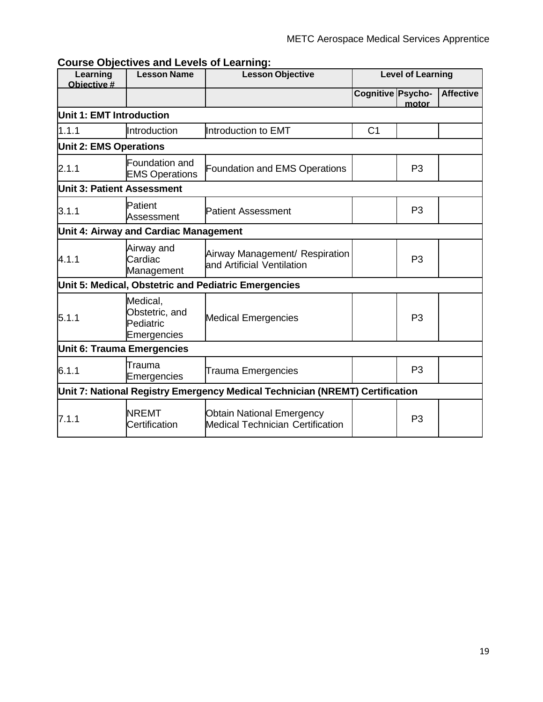| Learning                          | <b>Lesson Name</b><br><b>Lesson Objective</b><br>Objective # |                                                                              |                   | <b>Level of Learning</b> |                  |
|-----------------------------------|--------------------------------------------------------------|------------------------------------------------------------------------------|-------------------|--------------------------|------------------|
|                                   |                                                              |                                                                              | Cognitive Psycho- | motor                    | <b>Affective</b> |
| Unit 1: EMT Introduction          |                                                              |                                                                              |                   |                          |                  |
| 1.1.1                             | Introduction                                                 | Introduction to EMT                                                          | C <sub>1</sub>    |                          |                  |
| <b>Unit 2: EMS Operations</b>     |                                                              |                                                                              |                   |                          |                  |
| 2.1.1                             | Foundation and<br><b>EMS Operations</b>                      | <b>Foundation and EMS Operations</b>                                         |                   | P <sub>3</sub>           |                  |
| Unit 3: Patient Assessment        |                                                              |                                                                              |                   |                          |                  |
| 3.1.1                             | Patient<br>Assessment                                        | <b>Patient Assessment</b>                                                    |                   | P <sub>3</sub>           |                  |
|                                   | Unit 4: Airway and Cardiac Management                        |                                                                              |                   |                          |                  |
| 4.1.1                             | Airway and<br>Cardiac<br>Management                          | Airway Management/ Respiration<br>and Artificial Ventilation                 |                   | P <sub>3</sub>           |                  |
|                                   |                                                              | Unit 5: Medical, Obstetric and Pediatric Emergencies                         |                   |                          |                  |
| 5.1.1                             | Medical,<br>Obstetric, and<br>Pediatric<br>Emergencies       | <b>Medical Emergencies</b>                                                   |                   | P <sub>3</sub>           |                  |
| <b>Unit 6: Trauma Emergencies</b> |                                                              |                                                                              |                   |                          |                  |
| 6.1.1                             | Trauma<br>Emergencies                                        | <b>Trauma Emergencies</b>                                                    |                   | P <sub>3</sub>           |                  |
|                                   |                                                              | Unit 7: National Registry Emergency Medical Technician (NREMT) Certification |                   |                          |                  |
| 7.1.1                             | <b>NREMT</b><br>Certification                                | <b>Obtain National Emergency</b><br><b>Medical Technician Certification</b>  |                   | P <sub>3</sub>           |                  |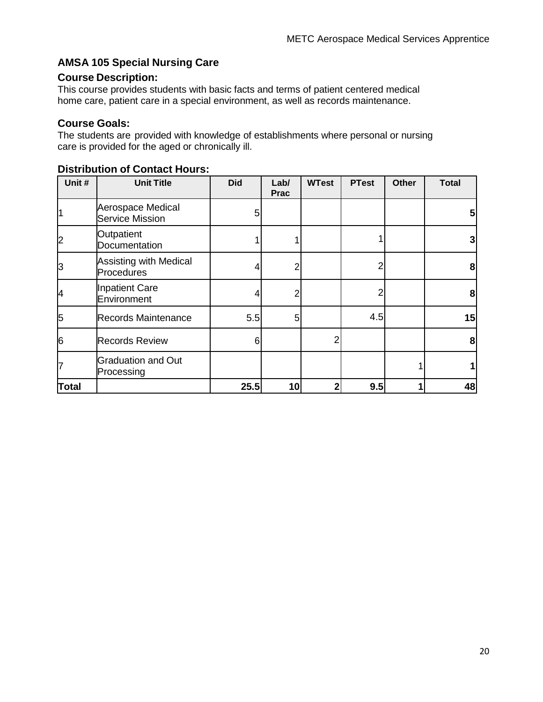## <span id="page-19-0"></span>**AMSA 105 Special Nursing Care**

### **Course Description:**

This course provides students with basic facts and terms of patient centered medical home care, patient care in a special environment, as well as records maintenance.

### **Course Goals:**

The students are provided with knowledge of establishments where personal or nursing care is provided for the aged or chronically ill.

| Unit #         | <b>Unit Title</b>                           | <b>Did</b> | Lab/<br><b>Prac</b> | <b>WTest</b> | <b>PTest</b> | <b>Other</b> | <b>Total</b> |
|----------------|---------------------------------------------|------------|---------------------|--------------|--------------|--------------|--------------|
| 1              | Aerospace Medical<br><b>Service Mission</b> | 5          |                     |              |              |              | 5            |
| $\overline{c}$ | Outpatient<br>Documentation                 |            |                     |              |              |              | 3            |
| 3              | <b>Assisting with Medical</b><br>Procedures | 4          | 2                   |              |              |              | 8            |
| 4              | Inpatient Care<br>Environment               |            | 2                   |              |              |              | 8            |
| 5              | <b>Records Maintenance</b>                  | 5.5        | 5                   |              | 4.5          |              | 15           |
| 6              | <b>Records Review</b>                       | 6          |                     | 2            |              |              | 8            |
| 7              | <b>Graduation and Out</b><br>Processing     |            |                     |              |              |              |              |
| <b>Total</b>   |                                             | 25.5       | 10                  | 2            | 9.5          |              | 48           |

#### **Distribution of Contact Hours:**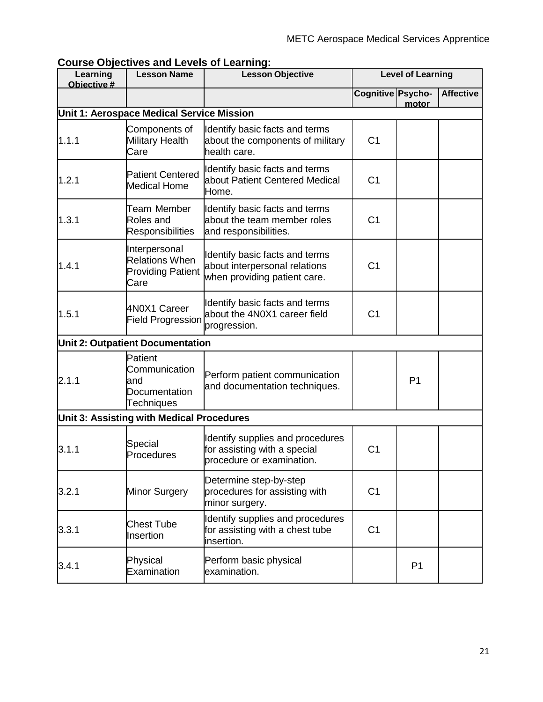| <b>Course Objectives and Levels of Learning:</b> |  |
|--------------------------------------------------|--|
|--------------------------------------------------|--|

| Learning<br>Objective #                   | <b>Lesson Name</b>                                                         | <b>Lesson Objective</b>                                                                         | <b>Level of Learning</b> |                |                  |  |  |  |  |
|-------------------------------------------|----------------------------------------------------------------------------|-------------------------------------------------------------------------------------------------|--------------------------|----------------|------------------|--|--|--|--|
|                                           |                                                                            |                                                                                                 | Cognitive Psycho-        | motor          | <b>Affective</b> |  |  |  |  |
| Unit 1: Aerospace Medical Service Mission |                                                                            |                                                                                                 |                          |                |                  |  |  |  |  |
| 1.1.1                                     | Components of<br><b>Military Health</b><br>Care                            | Identify basic facts and terms<br>about the components of military<br>health care.              | C <sub>1</sub>           |                |                  |  |  |  |  |
| 1.2.1                                     | <b>Patient Centered</b><br><b>Medical Home</b>                             | Identify basic facts and terms<br>about Patient Centered Medical<br>Home.                       | C <sub>1</sub>           |                |                  |  |  |  |  |
| 1.3.1                                     | Team Member<br>Roles and<br><b>Responsibilities</b>                        | Identify basic facts and terms<br>about the team member roles<br>and responsibilities.          | C <sub>1</sub>           |                |                  |  |  |  |  |
| 1.4.1                                     | Interpersonal<br><b>Relations When</b><br><b>Providing Patient</b><br>Care | Identify basic facts and terms<br>about interpersonal relations<br>when providing patient care. | C <sub>1</sub>           |                |                  |  |  |  |  |
| 1.5.1                                     | 4N0X1 Career<br><b>Field Progression</b>                                   | Identify basic facts and terms<br>about the 4N0X1 career field<br>progression.                  | C <sub>1</sub>           |                |                  |  |  |  |  |
|                                           | <b>Unit 2: Outpatient Documentation</b>                                    |                                                                                                 |                          |                |                  |  |  |  |  |
| 2.1.1                                     | Patient<br>Communication<br>and<br>Documentation<br>Techniques             | Perform patient communication<br>and documentation techniques.                                  |                          | P <sub>1</sub> |                  |  |  |  |  |
| Unit 3: Assisting with Medical Procedures |                                                                            |                                                                                                 |                          |                |                  |  |  |  |  |
| 3.1.1                                     | Special<br>Procedures                                                      | Identify supplies and procedures<br>for assisting with a special<br>procedure or examination.   | C <sub>1</sub>           |                |                  |  |  |  |  |
| 3.2.1                                     | Minor Surgery                                                              | Determine step-by-step<br>procedures for assisting with<br>minor surgery.                       | C <sub>1</sub>           |                |                  |  |  |  |  |
| 3.3.1                                     | <b>Chest Tube</b><br>Insertion                                             | Identify supplies and procedures<br>for assisting with a chest tube<br>insertion.               | C <sub>1</sub>           |                |                  |  |  |  |  |
| 3.4.1                                     | Physical<br>Examination                                                    | Perform basic physical<br>examination.                                                          |                          | P <sub>1</sub> |                  |  |  |  |  |